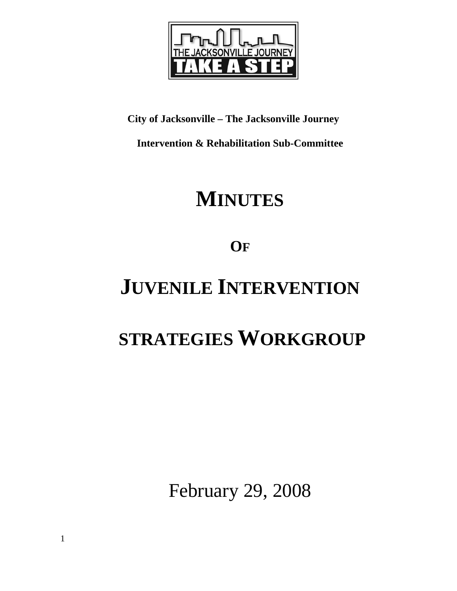

# **City of Jacksonville – The Jacksonville Journey**

**Intervention & Rehabilitation Sub-Committee** 

# **MINUTES**

# **OF**

# **JUVENILE INTERVENTION**

# **STRATEGIES WORKGROUP**

February 29, 2008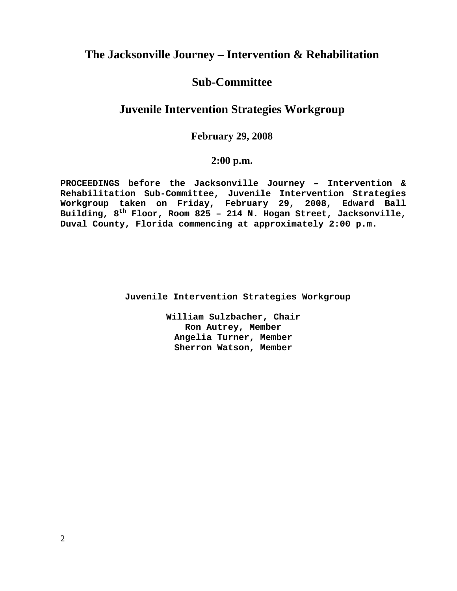# **The Jacksonville Journey – Intervention & Rehabilitation**

# **Sub-Committee**

# **Juvenile Intervention Strategies Workgroup**

### **February 29, 2008**

### **2:00 p.m.**

**PROCEEDINGS before the Jacksonville Journey – Intervention & Rehabilitation Sub-Committee, Juvenile Intervention Strategies Workgroup taken on Friday, February 29, 2008, Edward Ball Building, 8th Floor, Room 825 – 214 N. Hogan Street, Jacksonville, Duval County, Florida commencing at approximately 2:00 p.m.** 

 **Juvenile Intervention Strategies Workgroup** 

**William Sulzbacher, Chair Ron Autrey, Member Angelia Turner, Member Sherron Watson, Member**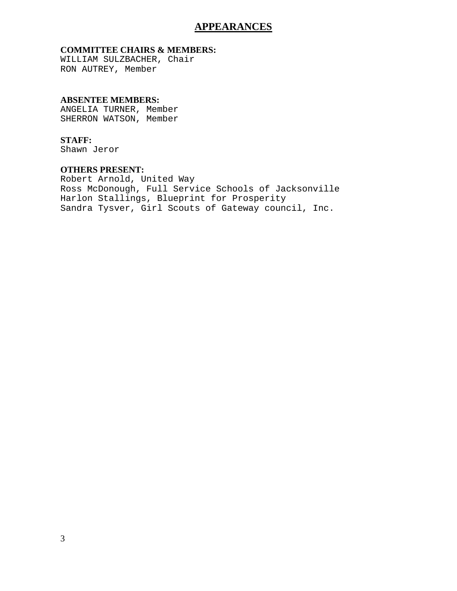### **APPEARANCES**

#### **COMMITTEE CHAIRS & MEMBERS:**

WILLIAM SULZBACHER, Chair RON AUTREY, Member

#### **ABSENTEE MEMBERS:**

ANGELIA TURNER, Member SHERRON WATSON, Member

#### **STAFF:**

Shawn Jeror

#### **OTHERS PRESENT:**

Robert Arnold, United Way Ross McDonough, Full Service Schools of Jacksonville Harlon Stallings, Blueprint for Prosperity Sandra Tysver, Girl Scouts of Gateway council, Inc.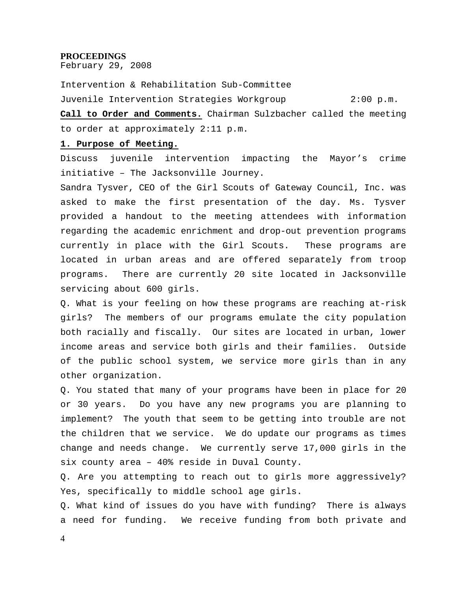#### **PROCEEDINGS**

February 29, 2008

Intervention & Rehabilitation Sub-Committee Juvenile Intervention Strategies Workgroup 2:00 p.m.

**Call to Order and Comments.** Chairman Sulzbacher called the meeting to order at approximately 2:11 p.m.

#### **1. Purpose of Meeting.**

Discuss juvenile intervention impacting the Mayor's crime initiative – The Jacksonville Journey.

Sandra Tysver, CEO of the Girl Scouts of Gateway Council, Inc. was asked to make the first presentation of the day. Ms. Tysver provided a handout to the meeting attendees with information regarding the academic enrichment and drop-out prevention programs currently in place with the Girl Scouts. These programs are located in urban areas and are offered separately from troop programs. There are currently 20 site located in Jacksonville servicing about 600 girls.

Q. What is your feeling on how these programs are reaching at-risk girls? The members of our programs emulate the city population both racially and fiscally. Our sites are located in urban, lower income areas and service both girls and their families. Outside of the public school system, we service more girls than in any other organization.

Q. You stated that many of your programs have been in place for 20 or 30 years. Do you have any new programs you are planning to implement? The youth that seem to be getting into trouble are not the children that we service. We do update our programs as times change and needs change. We currently serve 17,000 girls in the six county area – 40% reside in Duval County.

Q. Are you attempting to reach out to girls more aggressively? Yes, specifically to middle school age girls.

Q. What kind of issues do you have with funding? There is always a need for funding. We receive funding from both private and

4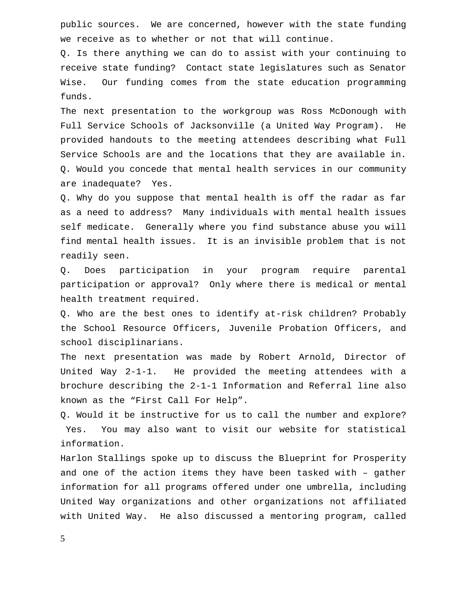public sources. We are concerned, however with the state funding we receive as to whether or not that will continue.

Q. Is there anything we can do to assist with your continuing to receive state funding? Contact state legislatures such as Senator Wise. Our funding comes from the state education programming funds.

The next presentation to the workgroup was Ross McDonough with Full Service Schools of Jacksonville (a United Way Program). He provided handouts to the meeting attendees describing what Full Service Schools are and the locations that they are available in. Q. Would you concede that mental health services in our community are inadequate? Yes.

Q. Why do you suppose that mental health is off the radar as far as a need to address? Many individuals with mental health issues self medicate. Generally where you find substance abuse you will find mental health issues. It is an invisible problem that is not readily seen.

Q. Does participation in your program require parental participation or approval? Only where there is medical or mental health treatment required.

Q. Who are the best ones to identify at-risk children? Probably the School Resource Officers, Juvenile Probation Officers, and school disciplinarians.

The next presentation was made by Robert Arnold, Director of United Way 2-1-1. He provided the meeting attendees with a brochure describing the 2-1-1 Information and Referral line also known as the "First Call For Help".

Q. Would it be instructive for us to call the number and explore? Yes. You may also want to visit our website for statistical information.

Harlon Stallings spoke up to discuss the Blueprint for Prosperity and one of the action items they have been tasked with – gather information for all programs offered under one umbrella, including United Way organizations and other organizations not affiliated with United Way. He also discussed a mentoring program, called

5